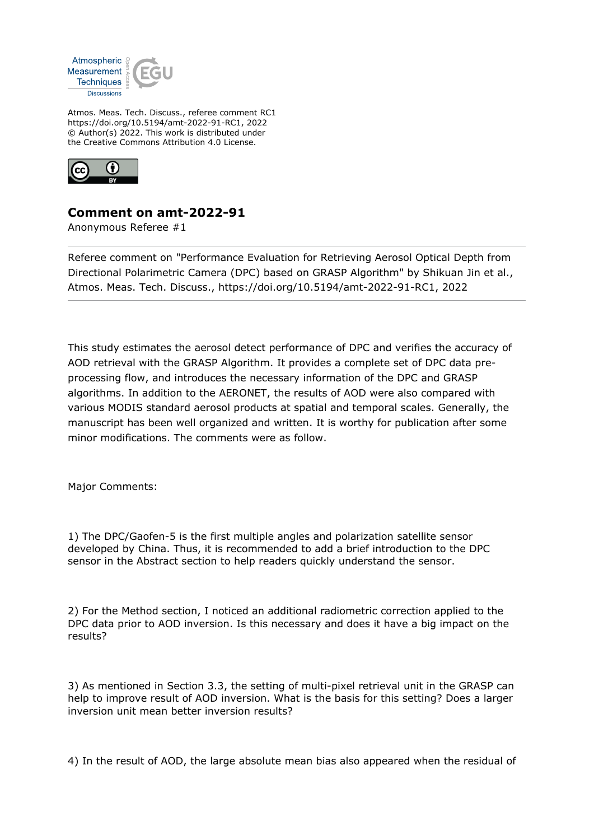

Atmos. Meas. Tech. Discuss., referee comment RC1 https://doi.org/10.5194/amt-2022-91-RC1, 2022 © Author(s) 2022. This work is distributed under the Creative Commons Attribution 4.0 License.



## **Comment on amt-2022-91**

Anonymous Referee #1

Referee comment on "Performance Evaluation for Retrieving Aerosol Optical Depth from Directional Polarimetric Camera (DPC) based on GRASP Algorithm" by Shikuan Jin et al., Atmos. Meas. Tech. Discuss., https://doi.org/10.5194/amt-2022-91-RC1, 2022

This study estimates the aerosol detect performance of DPC and verifies the accuracy of AOD retrieval with the GRASP Algorithm. It provides a complete set of DPC data preprocessing flow, and introduces the necessary information of the DPC and GRASP algorithms. In addition to the AERONET, the results of AOD were also compared with various MODIS standard aerosol products at spatial and temporal scales. Generally, the manuscript has been well organized and written. It is worthy for publication after some minor modifications. The comments were as follow.

Major Comments:

1) The DPC/Gaofen-5 is the first multiple angles and polarization satellite sensor developed by China. Thus, it is recommended to add a brief introduction to the DPC sensor in the Abstract section to help readers quickly understand the sensor.

2) For the Method section, I noticed an additional radiometric correction applied to the DPC data prior to AOD inversion. Is this necessary and does it have a big impact on the results?

3) As mentioned in Section 3.3, the setting of multi-pixel retrieval unit in the GRASP can help to improve result of AOD inversion. What is the basis for this setting? Does a larger inversion unit mean better inversion results?

4) In the result of AOD, the large absolute mean bias also appeared when the residual of